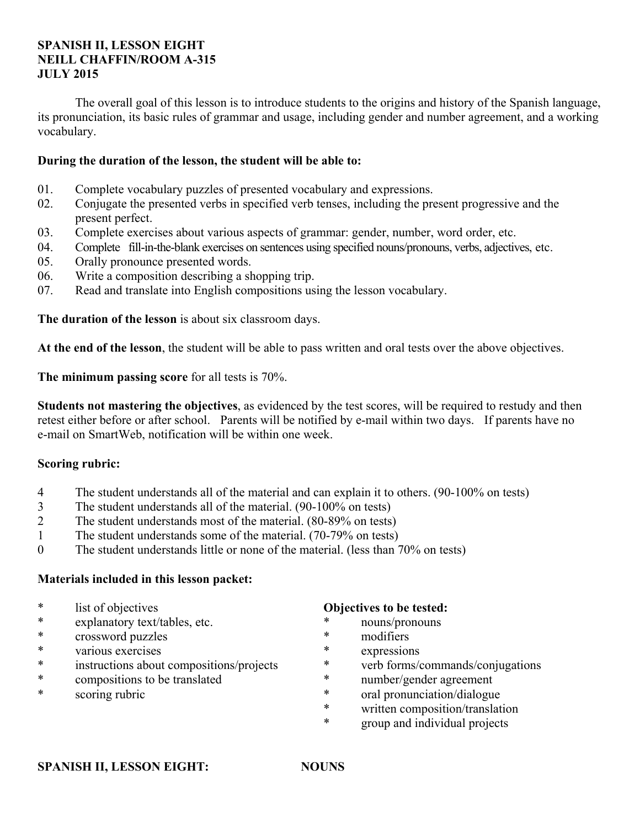#### **SPANISH II, LESSON EIGHT NEILL CHAFFIN/ROOM A-315 JULY 2015**

 The overall goal of this lesson is to introduce students to the origins and history of the Spanish language, its pronunciation, its basic rules of grammar and usage, including gender and number agreement, and a working vocabulary.

#### **During the duration of the lesson, the student will be able to:**

- 01. Complete vocabulary puzzles of presented vocabulary and expressions.
- 02. Conjugate the presented verbs in specified verb tenses, including the present progressive and the present perfect.
- 03. Complete exercises about various aspects of grammar: gender, number, word order, etc.
- 04. Complete fill-in-the-blank exercises on sentences using specified nouns/pronouns, verbs, adjectives, etc.
- 05. Orally pronounce presented words.
- 06. Write a composition describing a shopping trip.
- 07. Read and translate into English compositions using the lesson vocabulary.

**The duration of the lesson** is about six classroom days.

**At the end of the lesson**, the student will be able to pass written and oral tests over the above objectives.

**The minimum passing score** for all tests is 70%.

**Students not mastering the objectives**, as evidenced by the test scores, will be required to restudy and then retest either before or after school. Parents will be notified by e-mail within two days. If parents have no e-mail on SmartWeb, notification will be within one week.

#### **Scoring rubric:**

- 4 The student understands all of the material and can explain it to others. (90-100% on tests)
- 3 The student understands all of the material. (90-100% on tests)
- 2 The student understands most of the material. (80-89% on tests)
- 1 The student understands some of the material. (70-79% on tests)
- 0 The student understands little or none of the material. (less than 70% on tests)

#### **Materials included in this lesson packet:**

- \* list of objectives
- \* explanatory text/tables, etc.
- \* crossword puzzles
- various exercises
- \* instructions about compositions/projects
- \* compositions to be translated
- \* scoring rubric

#### **Objectives to be tested:**

- \* nouns/pronouns
- \* modifiers
- expressions
- \* verb forms/commands/conjugations
- \* number/gender agreement
- \* oral pronunciation/dialogue
- \* written composition/translation
- group and individual projects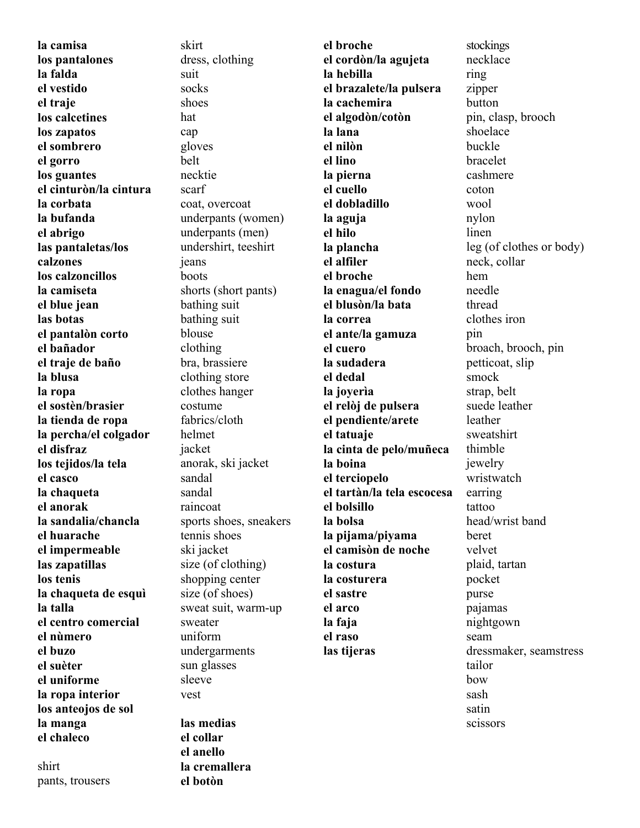**la camisa los pantalones la falda el vestido el traje los calcetines los zapatos el sombrero el gorro los guantes el cinturòn/la cintura la corbata la bufanda el abrigo las pantaletas/los calzones los calzoncillos la camiseta el blue jean las botas el pantalòn corto el bañador el traje de baño la blusa la ropa el sostèn/brasier la tienda de ropa la percha/el colgador el disfraz los tejidos/la tela el casco la chaqueta el anorak la sandalia/chancla el huarache el impermeable las zapatillas los tenis la chaqueta de esquì la talla el centro comercial el nùmero el buzo el suèter el uniforme la ropa interior los anteojos de sol la manga el chaleco**

shirt pants, trousers

skirt dress, clothing suit socks shoes hat cap gloves belt necktie scarf coat, overcoat underpants (women) underpants (men) undershirt, teeshirt jeans boots shorts (short pants) bathing suit bathing suit blouse clothing bra, brassiere clothing store clothes hanger costume fabrics/cloth helmet jacket anorak, ski jacket sandal sandal raincoat sports shoes, sneakers tennis shoes ski jacket size (of clothing) shopping center size (of shoes) sweat suit, warm-up sweater uniform undergarments sun glasses sleeve vest **las medias el collar el anello la cremallera** 

**el botòn** 

**el broche el cordòn/la agujeta la hebilla el brazalete/la pulsera la cachemira el algodòn/cotòn la lana el nilòn el lino la pierna el cuello el dobladillo la aguja el hilo la plancha el alfiler el broche la enagua/el fondo el blusòn/la bata la correa el ante/la gamuza el cuero la sudadera el dedal la joyerìa el relòj de pulsera el pendiente/arete el tatuaje la cinta de pelo/muñeca la boina el terciopelo el tartàn/la tela escocesa el bolsillo la bolsa la pijama/piyama el camisòn de noche la costura la costurera el sastre el arco la faja el raso las tijeras**

stockings necklace ring zipper button pin, clasp, brooch shoelace buckle bracelet cashmere coton wool nylon linen leg (of clothes or body) neck, collar hem needle thread clothes iron pin broach, brooch, pin petticoat, slip smock strap, belt suede leather leather sweatshirt thimble jewelry wristwatch earring tattoo head/wrist band beret velvet plaid, tartan pocket purse pajamas nightgown seam dressmaker, seamstress tailor bow sash satin scissors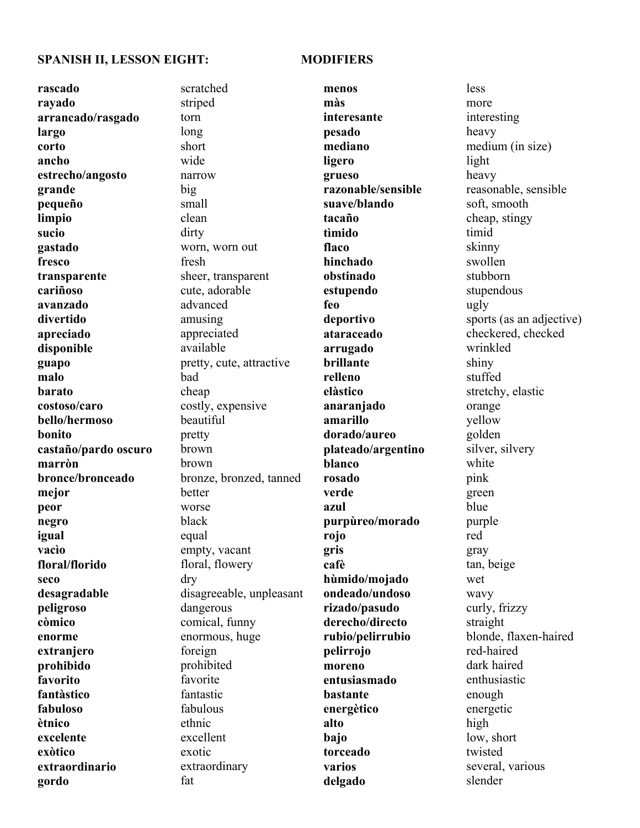#### **SPANISH II, LESSON EIGHT: MODIFIERS**

### **rascado rayado arrancado/rasgado largo corto ancho estrecho/angosto grande pequeño limpio sucio gastado fresco transparente cariñoso avanzado divertido apreciado disponible guapo malo barato costoso/caro bello/hermoso bonito castaño/pardo oscuro marròn bronce/bronceado mejor peor negro igual vacìo floral/florido seco desagradable peligroso còmico enorme extranjero prohibido favorito fantàstico fabuloso ètnico excelente exòtico extraordinario**

**gordo**

scratched striped torn long short wide narrow big small clean dirty worn, worn out fresh sheer, transparent cute, adorable advanced amusing appreciated available pretty, cute, attractive bad cheap costly, expensive beautiful pretty brown brown bronze, bronzed, tanned better worse black equal empty, vacant floral, flowery dry disagreeable, unpleasant dangerous comical, funny enormous, huge foreign prohibited favorite fantastic fabulous ethnic excellent exotic extraordinary fat

**menos màs interesante pesado mediano ligero grueso razonable/sensible suave/blando tacaño tìmido flaco hinchado obstinado estupendo feo deportivo ataraceado arrugado brillante relleno elàstico anaranjado amarillo dorado/aureo plateado/argentino blanco rosado verde azul purpùreo/morado rojo gris cafè hùmido/mojado ondeado/undoso rizado/pasudo derecho/directo rubio/pelirrubio pelirrojo moreno entusiasmado bastante energètico alto bajo torceado varios delgado**

less more interesting heavy medium (in size) light heavy reasonable, sensible soft, smooth cheap, stingy timid skinny swollen stubborn stupendous ugly sports (as an adjective) checkered, checked wrinkled shiny stuffed stretchy, elastic orange yellow golden silver, silvery white pink green blue purple red gray tan, beige wet wavy curly, frizzy straight blonde, flaxen-haired red-haired dark haired enthusiastic enough energetic high low, short twisted several, various slender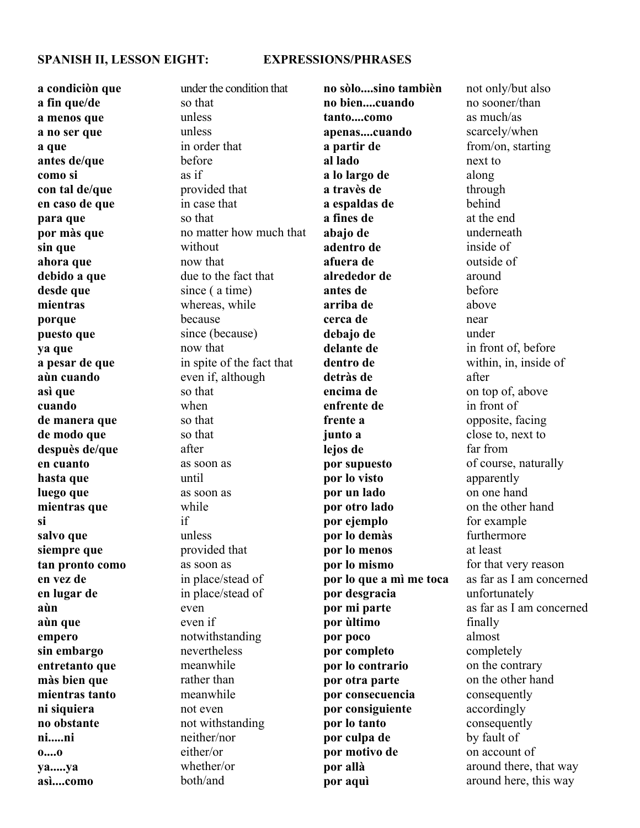#### **SPANISH II, LESSON EIGHT: EXPRESSIONS/PHRASES**

**a condiciòn que a fin que/de a menos que a no ser que a que antes de/que como si con tal de/que en caso de que para que por màs que sin que ahora que debido a que desde que mientras porque puesto que ya que a pesar de que aùn cuando asì que cuando de manera que de modo que despuès de/que en cuanto hasta que luego que mientras que si salvo que siempre que tan pronto como en vez de en lugar de aùn aùn que empero sin embargo entretanto que màs bien que mientras tanto ni siquiera no obstante ni.....ni o....o ya.....ya asì....como**

under the condition that so that unless unless in order that before as if provided that in case that so that no matter how much that without now that due to the fact that since ( a time) whereas, while because since (because) now that in spite of the fact that even if, although so that when so that so that after as soon as until as soon as while if unless provided that as soon as in place/stead of in place/stead of even even if notwithstanding nevertheless meanwhile rather than meanwhile not even not withstanding neither/nor either/or whether/or both/and

**no sòlo....sino tambièn no bien....cuando tanto....como apenas....cuando a partir de al lado a lo largo de a travès de a espaldas de a fines de abajo de adentro de afuera de alrededor de antes de arriba de cerca de debajo de delante de dentro de detràs de encima de enfrente de frente a junto a lejos de por supuesto por lo visto por un lado por otro lado por ejemplo por lo demàs por lo menos por lo mismo por lo que a mì me toca por desgracia por mi parte por ùltimo por poco por completo por lo contrario por otra parte por consecuencia por consiguiente por lo tanto por culpa de por motivo de por allà por aquì**

not only/but also no sooner/than as much/as scarcely/when from/on, starting next to along through behind at the end underneath inside of outside of around before above near under in front of, before within, in, inside of after on top of, above in front of opposite, facing close to, next to far from of course, naturally apparently on one hand on the other hand for example furthermore at least for that very reason as far as I am concerned unfortunately as far as I am concerned finally almost completely on the contrary on the other hand consequently accordingly consequently by fault of on account of around there, that way around here, this way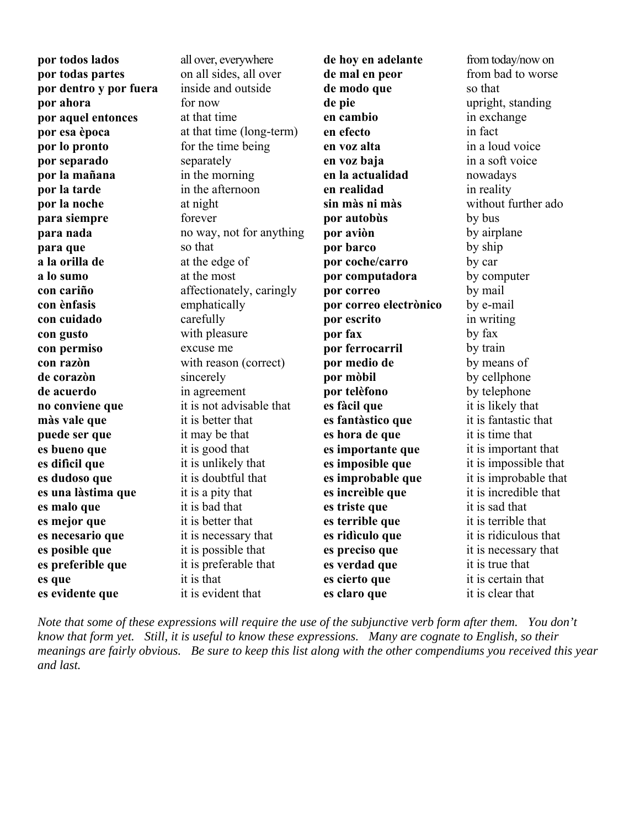**por todos lados por todas partes por dentro y por fuera por ahora por aquel entonces por esa època por lo pronto por separado por la mañana por la tarde por la noche para siempre para nada para que a la orilla de a lo sumo con cariño con ènfasis con cuidado con gusto con permiso con razòn de corazòn de acuerdo no conviene que màs vale que puede ser que es bueno que es difìcil que es dudoso que es una làstima que es malo que es mejor que es necesario que es posible que es preferible que es que es evidente que**

all over, everywhere on all sides, all over inside and outside for now at that time at that time (long-term) for the time being separately in the morning in the afternoon at night forever no way, not for anything so that at the edge of at the most affectionately, caringly emphatically carefully with pleasure excuse me with reason (correct) sincerely in agreement it is not advisable that it is better that it may be that it is good that it is unlikely that it is doubtful that it is a pity that it is bad that it is better that it is necessary that it is possible that it is preferable that it is that

it is evident that

**de hoy en adelante de mal en peor de modo que de pie en cambio en efecto en voz alta en voz baja en la actualidad en realidad sin màs ni màs por autobùs por aviòn por barco por coche/carro por computadora por correo por correo electrònico por escrito por fax por ferrocarril por medio de por mòbil por telèfono es fàcil que es fantàstico que es hora de que es importante que es imposible que es improbable que es increìble que es triste que es terrible que es ridìculo que es preciso que es verdad que es cierto que es claro que**

from today/now on from bad to worse so that upright, standing in exchange in fact in a loud voice in a soft voice nowadays in reality without further ado by bus by airplane by ship by car by computer by mail by e-mail in writing by fax by train by means of by cellphone by telephone it is likely that it is fantastic that it is time that it is important that it is impossible that it is improbable that it is incredible that it is sad that it is terrible that it is ridiculous that it is necessary that it is true that it is certain that it is clear that

*Note that some of these expressions will require the use of the subjunctive verb form after them. You don't know that form yet. Still, it is useful to know these expressions. Many are cognate to English, so their meanings are fairly obvious. Be sure to keep this list along with the other compendiums you received this year and last.*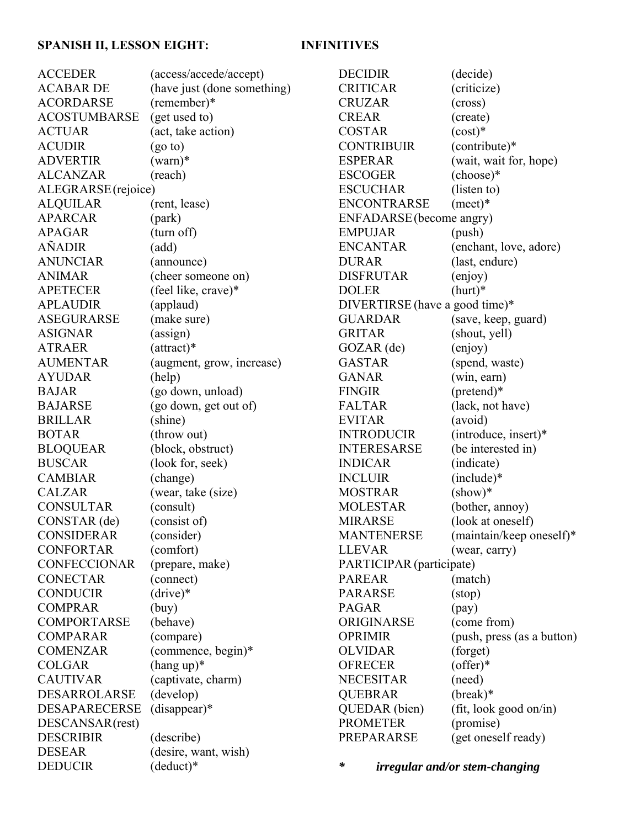## **SPANISH II, LESSON EIGHT: INFINITIVES**

| <b>ACCEDER</b>       | (access/accede/accept)      |
|----------------------|-----------------------------|
| <b>ACABAR DE</b>     | (have just (done something) |
| <b>ACORDARSE</b>     | (remember)*                 |
| ACOSTUMBARSE         | (get used to)               |
| <b>ACTUAR</b>        | (act, take action)          |
| <b>ACUDIR</b>        | (go to)                     |
| <b>ADVERTIR</b>      | $(warn)*$                   |
| <b>ALCANZAR</b>      | (reach)                     |
| ALEGRARSE (rejoice)  |                             |
| <b>ALQUILAR</b>      | (rent, lease)               |
| <b>APARCAR</b>       | (park)                      |
| <b>APAGAR</b>        | (turn off)                  |
| <b>AÑADIR</b>        | (add)                       |
| ANUNCIAR             | (announce)                  |
| <b>ANIMAR</b>        | (cheer someone on)          |
| <b>APETECER</b>      | (feel like, crave)*         |
| <b>APLAUDIR</b>      | (applaud)                   |
| ASEGURARSE           | (make sure)                 |
| <b>ASIGNAR</b>       | (assign)                    |
| <b>ATRAER</b>        | $(attract)*$                |
| <b>AUMENTAR</b>      | (augment, grow, increase)   |
| <b>AYUDAR</b>        | (help)                      |
| <b>BAJAR</b>         | (go down, unload)           |
| <b>BAJARSE</b>       | (go down, get out of)       |
| <b>BRILLAR</b>       | (shine)                     |
| <b>BOTAR</b>         | (throw out)                 |
| <b>BLOQUEAR</b>      | (block, obstruct)           |
| <b>BUSCAR</b>        | (look for, seek)            |
| <b>CAMBIAR</b>       | (change)                    |
| <b>CALZAR</b>        | (wear, take (size)          |
| <b>CONSULTAR</b>     | (consult)                   |
| CONSTAR (de)         | (consist of)                |
| <b>CONSIDERAR</b>    | (consider)                  |
| <b>CONFORTAR</b>     | (comfort)                   |
| <b>CONFECCIONAR</b>  | (prepare, make)             |
| <b>CONECTAR</b>      | (connect)                   |
| <b>CONDUCIR</b>      | $(drive)*$                  |
| <b>COMPRAR</b>       | (buy)                       |
| <b>COMPORTARSE</b>   | (behave)                    |
| <b>COMPARAR</b>      | (compare)                   |
| <b>COMENZAR</b>      | (commence, begin)*          |
| <b>COLGAR</b>        | $(hang up)*$                |
| <b>CAUTIVAR</b>      | (captivate, charm)          |
| <b>DESARROLARSE</b>  | (develop)                   |
| <b>DESAPARECERSE</b> | $(disappear)*$              |
| DESCANSAR(rest)      |                             |
| <b>DESCRIBIR</b>     | (describe)                  |
| <b>DESEAR</b>        | (desire, want, wish)        |
| <b>DEDUCIR</b>       | (deduct)*                   |
|                      |                             |

| <b>DECIDIR</b>                 | (decide)                   |
|--------------------------------|----------------------------|
| <b>CRITICAR</b>                | (criticize)                |
| <b>CRUZAR</b>                  | (cross)                    |
| <b>CREAR</b>                   | (create)                   |
| <b>COSTAR</b>                  | $(cost)*$                  |
| <b>CONTRIBUIR</b>              | (contribute)*              |
| <b>ESPERAR</b>                 | (wait, wait for, hope)     |
| <b>ESCOGER</b>                 | (choose)*                  |
| <b>ESCUCHAR</b>                | (listen to)                |
| <b>ENCONTRARSE</b>             | $(mect)*$                  |
| ENFADARSE (become angry)       |                            |
| <b>EMPUJAR</b>                 | (push)                     |
| <b>ENCANTAR</b>                | (enchant, love, adore)     |
| <b>DURAR</b>                   | (last, endure)             |
| <b>DISFRUTAR</b>               | (enjoy)                    |
| <b>DOLER</b>                   | $(hurt)*$                  |
| DIVERTIRSE (have a good time)* |                            |
| <b>GUARDAR</b>                 | (save, keep, guard)        |
| <b>GRITAR</b>                  | (shout, yell)              |
| $GOZAR$ (de)                   | (enjoy)                    |
| <b>GASTAR</b>                  | (spend, waste)             |
| <b>GANAR</b>                   | (win, earn)                |
| <b>FINGIR</b>                  | (pretend)*                 |
| <b>FALTAR</b>                  | (lack, not have)           |
| <b>EVITAR</b>                  | (avoid)                    |
| <b>INTRODUCIR</b>              | (introduce, insert)*       |
| <b>INTERESARSE</b>             | (be interested in)         |
| <b>INDICAR</b>                 | (indicate)                 |
| <b>INCLUIR</b>                 | (include)*                 |
| <b>MOSTRAR</b>                 | $(\text{show})^*$          |
| <b>MOLESTAR</b>                | (bother, annoy)            |
| <b>MIRARSE</b>                 | (look at oneself)          |
| <b>MANTENERSE</b>              | (maintain/keep oneself)*   |
| <b>LLEVAR</b>                  | (wear, carry)              |
| PARTICIPAR (participate)       |                            |
| <b>PAREAR</b>                  | (match)                    |
| <b>PARARSE</b>                 | (stop)                     |
| <b>PAGAR</b>                   | $(\text{pay})$             |
| ORIGINARSE                     | (come from)                |
| <b>OPRIMIR</b>                 | (push, press (as a button) |
| <b>OLVIDAR</b>                 | (forget)                   |
| <b>OFRECER</b>                 | $(offer)*$                 |
| <b>NECESITAR</b>               | (need)                     |
| <b>QUEBRAR</b>                 | $(break)*$                 |
| QUEDAR (bien)                  | (fit, look good on/in)     |
| <b>PROMETER</b>                | (promise)                  |
| PREPARARSE                     | (get oneself ready)        |

*\* irregular and/or stem-changing*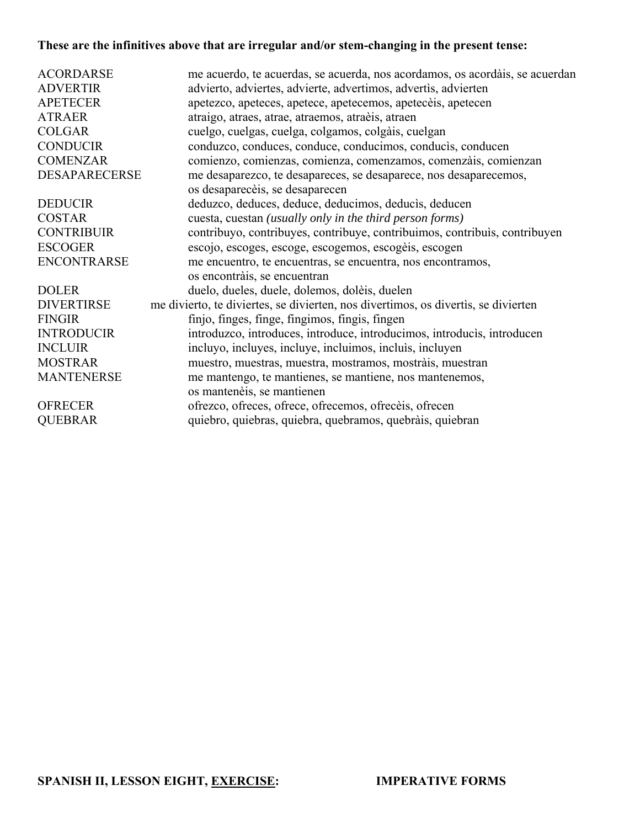# **These are the infinitives above that are irregular and/or stem-changing in the present tense:**

| <b>ACORDARSE</b>     | me acuerdo, te acuerdas, se acuerda, nos acordamos, os acordàis, se acuerdan       |
|----------------------|------------------------------------------------------------------------------------|
| <b>ADVERTIR</b>      | advierto, adviertes, advierte, advertimos, advertis, advierten                     |
|                      |                                                                                    |
| <b>APETECER</b>      | apetezco, apeteces, apetece, apetecemos, apetecèis, apetecen                       |
| <b>ATRAER</b>        | atraigo, atraes, atrae, atraemos, atraèis, atraen                                  |
| <b>COLGAR</b>        | cuelgo, cuelgas, cuelga, colgamos, colgàis, cuelgan                                |
| <b>CONDUCIR</b>      | conduzco, conduces, conduce, conducimos, conducis, conducen                        |
| <b>COMENZAR</b>      | comienzo, comienzas, comienza, comenzamos, comenzais, comienzan                    |
| <b>DESAPARECERSE</b> | me desaparezco, te desapareces, se desaparece, nos desaparecemos,                  |
|                      | os desaparecèis, se desaparecen                                                    |
| <b>DEDUCIR</b>       | deduzco, deduces, deduce, deducimos, deducis, deducen                              |
| <b>COSTAR</b>        | cuesta, cuestan (usually only in the third person forms)                           |
| <b>CONTRIBUIR</b>    | contribuyo, contribuyes, contribuye, contribuimos, contribuis, contribuyen         |
| <b>ESCOGER</b>       | escojo, escoges, escoge, escogemos, escogèis, escogen                              |
| <b>ENCONTRARSE</b>   | me encuentro, te encuentras, se encuentra, nos encontramos,                        |
|                      | os encontràis, se encuentran                                                       |
| <b>DOLER</b>         | duelo, dueles, duele, dolemos, dolèis, duelen                                      |
| <b>DIVERTIRSE</b>    | me divierto, te diviertes, se divierten, nos divertimos, os divertis, se divierten |
| <b>FINGIR</b>        | finjo, finges, finge, fingimos, fingis, fingen                                     |
| <b>INTRODUCIR</b>    | introduzco, introduces, introduce, introducimos, introducis, introducen            |
| <b>INCLUIR</b>       | incluyo, incluyes, incluye, incluimos, incluis, incluyen                           |
| <b>MOSTRAR</b>       | muestro, muestras, muestra, mostramos, mostràis, muestran                          |
| <b>MANTENERSE</b>    | me mantengo, te mantienes, se mantiene, nos mantenemos,                            |
|                      | os mantenèis, se mantienen                                                         |
| <b>OFRECER</b>       | ofrezco, ofreces, ofrece, ofrecemos, ofreceis, ofrecen                             |
| <b>QUEBRAR</b>       | quiebro, quiebras, quiebra, quebramos, quebràis, quiebran                          |
|                      |                                                                                    |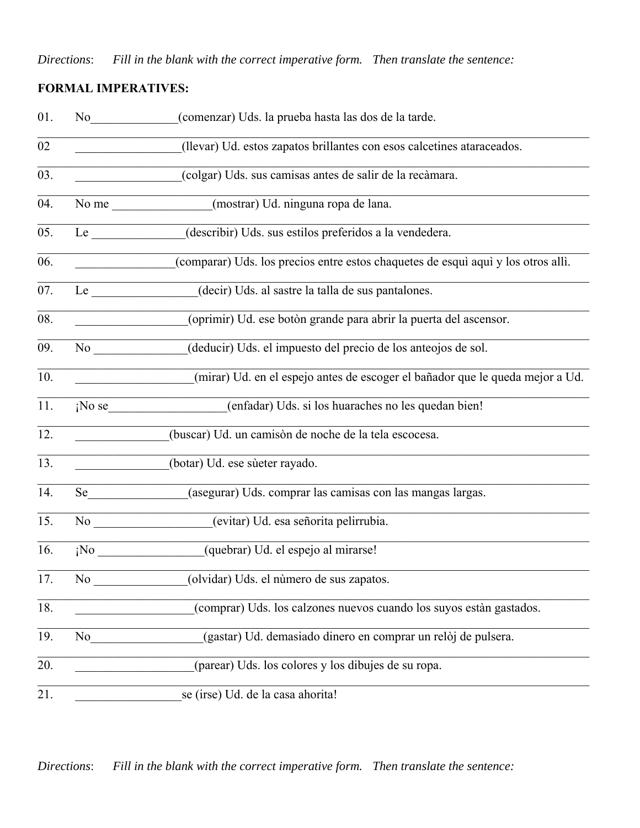*Directions*: *Fill in the blank with the correct imperative form. Then translate the sentence:*

# **FORMAL IMPERATIVES:**

| 01. | No new years of the state of the state of the state of the state of the state of the state of the state of the state of the state of the state of the state of the state of the state of the state of the state of the state o | (comenzar) Uds. la prueba hasta las dos de la tarde.                              |
|-----|--------------------------------------------------------------------------------------------------------------------------------------------------------------------------------------------------------------------------------|-----------------------------------------------------------------------------------|
| 02  |                                                                                                                                                                                                                                | (llevar) Ud. estos zapatos brillantes con esos calcetines ataraceados.            |
| 03. |                                                                                                                                                                                                                                | (colgar) Uds. sus camisas antes de salir de la recàmara.                          |
| 04. |                                                                                                                                                                                                                                | (mostrar) Ud. ninguna ropa de lana.<br>No me                                      |
| 05. | Le                                                                                                                                                                                                                             | (describir) Uds. sus estilos preferidos a la vendedera.                           |
| 06. |                                                                                                                                                                                                                                | (comparar) Uds. los precios entre estos chaquetes de esquì aquì y los otros allì. |
| 07. | $Le$ <sub>_____</sub>                                                                                                                                                                                                          | (decir) Uds. al sastre la talla de sus pantalones.                                |
| 08. |                                                                                                                                                                                                                                | (oprimir) Ud. ese botòn grande para abrir la puerta del ascensor.                 |
| 09. |                                                                                                                                                                                                                                | (deducir) Uds. el impuesto del precio de los anteojos de sol.                     |
| 10. |                                                                                                                                                                                                                                | (mirar) Ud. en el espejo antes de escoger el bañador que le queda mejor a Ud.     |
| 11. | $i$ No se                                                                                                                                                                                                                      | (enfadar) Uds. si los huaraches no les quedan bien!                               |
| 12. |                                                                                                                                                                                                                                | (buscar) Ud. un camisòn de noche de la tela escocesa.                             |
| 13. |                                                                                                                                                                                                                                | (botar) Ud. ese sùeter rayado.                                                    |
| 14. | Se and the set of the set of the set of the set of the set of the set of the set of the set of the set of the set of the set of the set of the set of the set of the set of the set of the set of the set of the set of the se | (asegurar) Uds. comprar las camisas con las mangas largas.                        |
| 15. | No new years of the state of the state of the state of the state of the state of the state of the state of the state of the state of the state of the state of the state of the state of the state of the state of the state o | (evitar) Ud. esa señorita pelirrubia.                                             |
| 16. | $i$ No                                                                                                                                                                                                                         | (quebrar) Ud. el espejo al mirarse!                                               |
| 17. | No                                                                                                                                                                                                                             | (olvidar) Uds. el número de sus zapatos.                                          |
| 18. |                                                                                                                                                                                                                                | (comprar) Uds. los calzones nuevos cuando los suyos estàn gastados.               |
| 19. | No                                                                                                                                                                                                                             | (gastar) Ud. demasiado dinero en comprar un relòj de pulsera.                     |
| 20. |                                                                                                                                                                                                                                | (parear) Uds. los colores y los dibujes de su ropa.                               |
| 21. |                                                                                                                                                                                                                                | se (irse) Ud. de la casa ahorita!                                                 |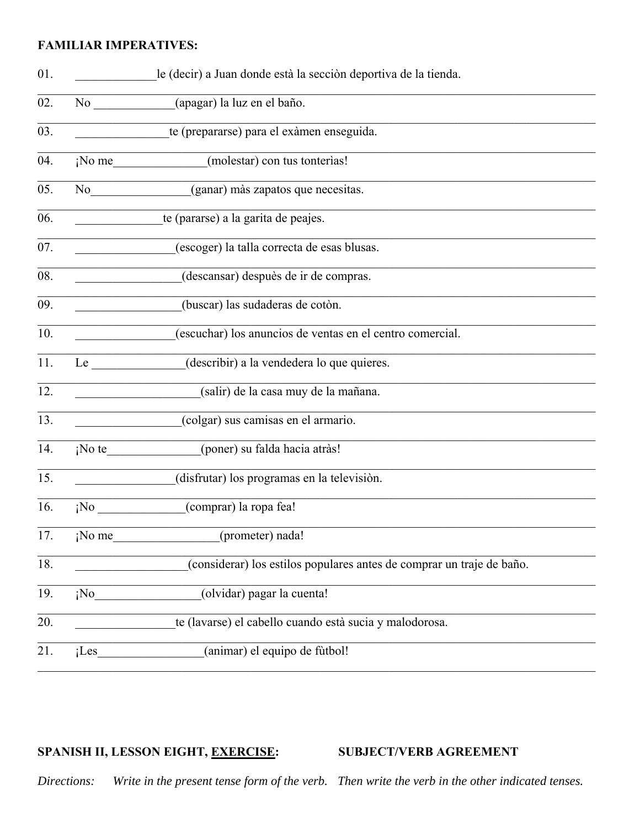### **FAMILIAR IMPERATIVES:**

| 01.               |                                                                                                                     | le (decir) a Juan donde està la sección deportiva de la tienda.       |
|-------------------|---------------------------------------------------------------------------------------------------------------------|-----------------------------------------------------------------------|
| 02.               |                                                                                                                     | No (apagar) la luz en el baño.                                        |
| 03.               |                                                                                                                     | te (prepararse) para el exàmen enseguida.                             |
| 04.               |                                                                                                                     | ¡No me (molestar) con tus tonterias!                                  |
| 05.               |                                                                                                                     | No (ganar) màs zapatos que necesitas.                                 |
| 06.               |                                                                                                                     | te (pararse) a la garita de peajes.                                   |
| 07.               |                                                                                                                     | (escoger) la talla correcta de esas blusas.                           |
| 08.               |                                                                                                                     | (descansar) despuès de ir de compras.                                 |
| $\overline{09}$ . |                                                                                                                     | (buscar) las sudaderas de cotòn.                                      |
| 10.               |                                                                                                                     | (escuchar) los anuncios de ventas en el centro comercial.             |
| 11.               | Le                                                                                                                  | (describir) a la vendedera lo que quieres.                            |
| 12.               |                                                                                                                     | (salir) de la casa muy de la mañana.                                  |
| 13.               |                                                                                                                     | (colgar) sus camisas en el armario.                                   |
| 14.               |                                                                                                                     | ¡No te (poner) su falda hacia atràs!                                  |
| 15.               | <u> 1990 - Jan James Barnett, politik eta politik eta politik eta politik eta politik eta politik eta politik e</u> | (disfrutar) los programas en la televisión.                           |
| 16.               | i <sup>NO</sup>                                                                                                     | (comprar) la ropa fea!                                                |
| 17.               | ¡No me_                                                                                                             | (prometer) nada!                                                      |
| 18.               |                                                                                                                     | (considerar) los estilos populares antes de comprar un traje de baño. |
| 19.               | ¡No                                                                                                                 | (olvidar) pagar la cuenta!                                            |
| 20.               |                                                                                                                     | te (lavarse) el cabello cuando està sucia y malodorosa.               |
| 21.               | $i$ Les                                                                                                             | (animar) el equipo de fùtbol!                                         |

# SPANISH II, LESSON EIGHT, EXERCISE:

#### **SUBJECT/VERB AGREEMENT**

Write in the present tense form of the verb. Then write the verb in the other indicated tenses. Directions: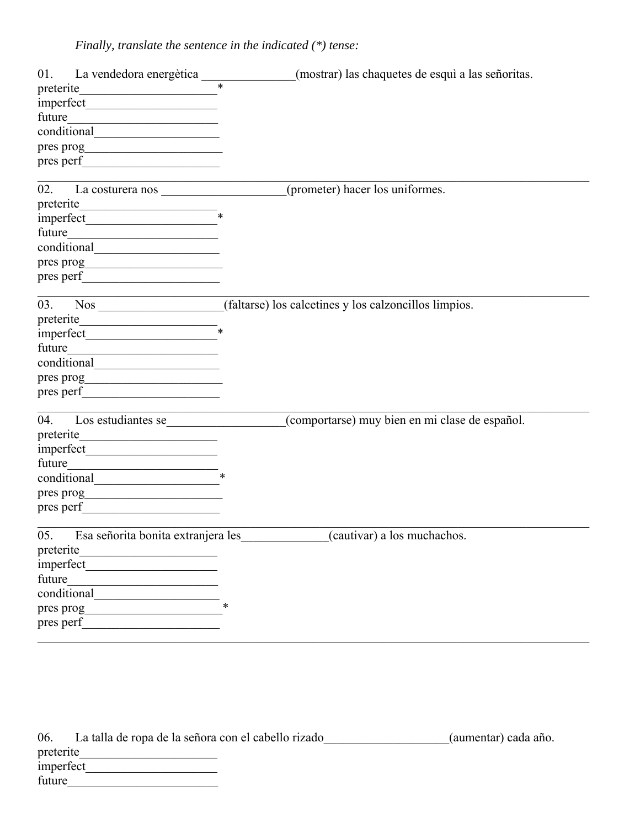*Finally, translate the sentence in the indicated (\*) tense:*

|                                                        | (mostrar) las chaquetes de esquì a las señoritas.                                  |
|--------------------------------------------------------|------------------------------------------------------------------------------------|
|                                                        |                                                                                    |
|                                                        |                                                                                    |
| future                                                 |                                                                                    |
|                                                        |                                                                                    |
|                                                        |                                                                                    |
|                                                        |                                                                                    |
| 02. La costurera nos superficiente de la costurera nos | (prometer) hacer los uniformes.                                                    |
| preterite                                              |                                                                                    |
|                                                        |                                                                                    |
|                                                        |                                                                                    |
|                                                        |                                                                                    |
|                                                        |                                                                                    |
|                                                        |                                                                                    |
| <u> 1980 - Johann Barnett, fransk politik (</u>        | 03. Nos _____________________(faltarse) los calcetines y los calzoncillos limpios. |
| $\text{preterite}\_\text{*}$                           |                                                                                    |
|                                                        |                                                                                    |
| future                                                 |                                                                                    |
|                                                        |                                                                                    |
|                                                        |                                                                                    |
|                                                        |                                                                                    |
| Los estudiantes se<br>04.                              | (comportarse) muy bien en mi clase de español.                                     |
|                                                        |                                                                                    |
|                                                        |                                                                                    |
| future                                                 |                                                                                    |
|                                                        |                                                                                    |
|                                                        |                                                                                    |
|                                                        |                                                                                    |
|                                                        | 05. Esa señorita bonita extranjera les _____________(cautivar) a los muchachos.    |
| preterite                                              |                                                                                    |
| imperfect                                              |                                                                                    |
| future                                                 |                                                                                    |
| conditional                                            |                                                                                    |
| pres prog                                              |                                                                                    |
| pres perf                                              |                                                                                    |
|                                                        |                                                                                    |
|                                                        |                                                                                    |

| 06.       | La talla de ropa de la señora con el cabello rizado | (aumentar) cada año. |
|-----------|-----------------------------------------------------|----------------------|
| preterite |                                                     |                      |
| imperfect |                                                     |                      |
| future    |                                                     |                      |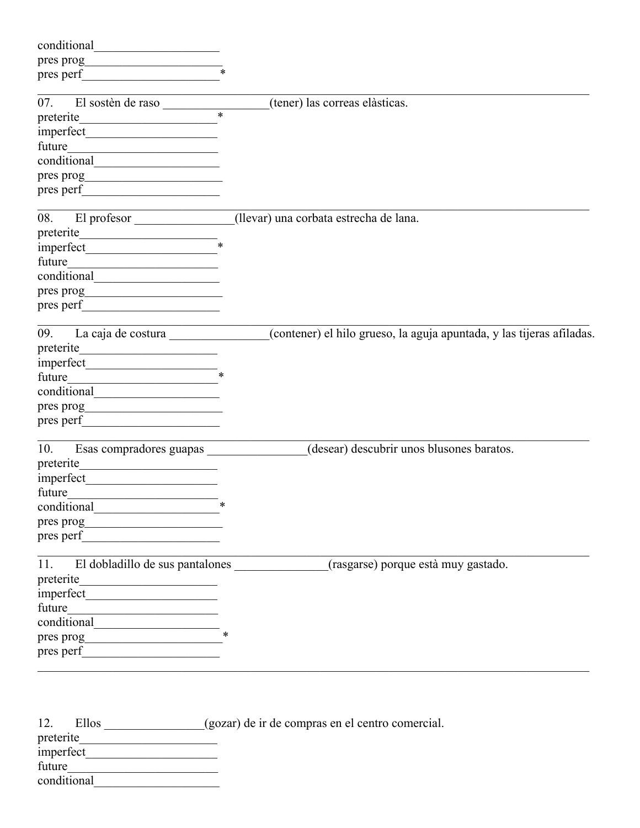| conditional                                                                                                                    |                                                                                       |
|--------------------------------------------------------------------------------------------------------------------------------|---------------------------------------------------------------------------------------|
|                                                                                                                                |                                                                                       |
| pres perf                                                                                                                      |                                                                                       |
| 07.                                                                                                                            |                                                                                       |
| El sostèn de raso<br>$\overline{\ast}$                                                                                         | (tener) las correas elàsticas.                                                        |
|                                                                                                                                |                                                                                       |
| future                                                                                                                         |                                                                                       |
| <u> 1980 - Andrea Station, amerikansk politik (</u>                                                                            |                                                                                       |
|                                                                                                                                |                                                                                       |
|                                                                                                                                |                                                                                       |
|                                                                                                                                |                                                                                       |
| El profesor<br>08.                                                                                                             | (llevar) una corbata estrecha de lana.                                                |
|                                                                                                                                |                                                                                       |
|                                                                                                                                |                                                                                       |
| future                                                                                                                         |                                                                                       |
|                                                                                                                                |                                                                                       |
|                                                                                                                                |                                                                                       |
|                                                                                                                                |                                                                                       |
| La caja de costura<br>09.                                                                                                      | (contener) el hilo grueso, la aguja apuntada, y las tijeras afiladas.                 |
|                                                                                                                                |                                                                                       |
|                                                                                                                                |                                                                                       |
| future<br><u> 1989 - Johann John Stone, mars eta bainar eta erroman eta erroman erroman erroman erroman erroman erroman er</u> |                                                                                       |
|                                                                                                                                |                                                                                       |
|                                                                                                                                |                                                                                       |
| pres perf                                                                                                                      |                                                                                       |
| Esas compradores guapas<br>10.                                                                                                 | (desear) descubrir unos blusones baratos.                                             |
| preterite                                                                                                                      |                                                                                       |
|                                                                                                                                |                                                                                       |
| future                                                                                                                         |                                                                                       |
|                                                                                                                                |                                                                                       |
|                                                                                                                                |                                                                                       |
|                                                                                                                                |                                                                                       |
|                                                                                                                                | 11. El dobladillo de sus pantalones ______________(rasgarse) porque està muy gastado. |
|                                                                                                                                |                                                                                       |
|                                                                                                                                |                                                                                       |
|                                                                                                                                |                                                                                       |
| $\frac{1}{\text{conditional}}$ *                                                                                               |                                                                                       |
|                                                                                                                                |                                                                                       |
|                                                                                                                                |                                                                                       |
|                                                                                                                                |                                                                                       |
| 12.                                                                                                                            | Ellos ______________(gozar) de ir de compras en el centro comercial.                  |
|                                                                                                                                |                                                                                       |
| imperfect                                                                                                                      |                                                                                       |

| <i><u>IIIIperiect</u></i> |  |
|---------------------------|--|
| future                    |  |
| conditional               |  |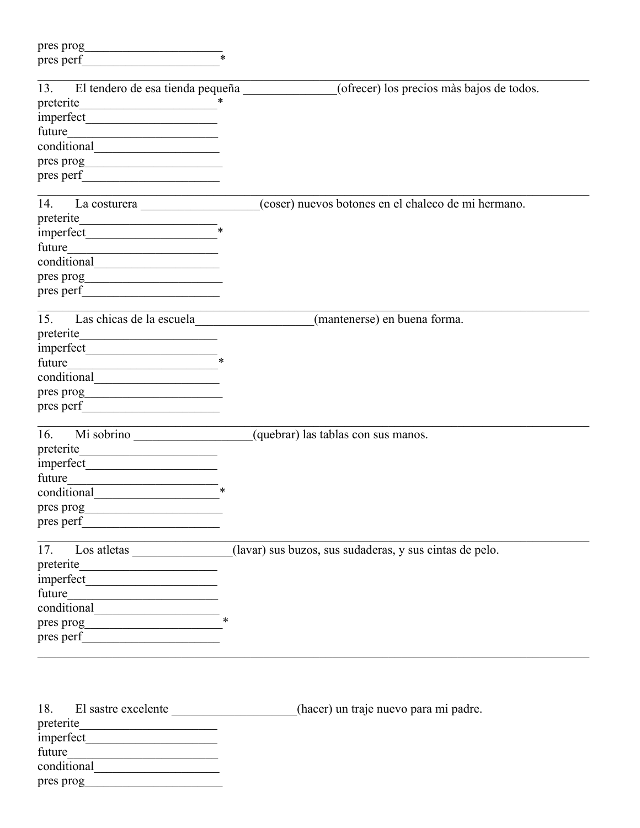| $\ast$<br>El tendero de esa tienda pequeña<br>(ofrecer) los precios màs bajos de todos.<br>(coser) nuevos botones en el chaleco de mi hermano.<br>preterite<br><u> 1990 - Johann John Stoff, fransk politik (f. 1918)</u><br>Las chicas de la escuela<br>(mantenerse) en buena forma.<br><u> 1989 - Andrea State Barbara, politik e</u><br>the control of the control of the con-<br>Mi sobrino<br>(quebrar) las tablas con sus manos.<br><u> 1989 - Andrea Station Books, amerikansk politik (</u><br>future<br>$\ast$<br>conditional<br>Los atletas _____________(lavar) sus buzos, sus sudaderas, y sus cintas de pelo.<br>$\frac{1}{\sqrt{1-\frac{1}{x}}\sqrt{1-\frac{1}{x}}}}$<br>El sastre excelente<br>(hacer) un traje nuevo para mi padre.<br>pres prog | pres prog<br><u> 1989 - Johann Barbara, martxa al</u> |  |
|------------------------------------------------------------------------------------------------------------------------------------------------------------------------------------------------------------------------------------------------------------------------------------------------------------------------------------------------------------------------------------------------------------------------------------------------------------------------------------------------------------------------------------------------------------------------------------------------------------------------------------------------------------------------------------------------------------------------------------------------------------------|-------------------------------------------------------|--|
|                                                                                                                                                                                                                                                                                                                                                                                                                                                                                                                                                                                                                                                                                                                                                                  | pres perf                                             |  |
|                                                                                                                                                                                                                                                                                                                                                                                                                                                                                                                                                                                                                                                                                                                                                                  | 13.                                                   |  |
|                                                                                                                                                                                                                                                                                                                                                                                                                                                                                                                                                                                                                                                                                                                                                                  | preterite                                             |  |
|                                                                                                                                                                                                                                                                                                                                                                                                                                                                                                                                                                                                                                                                                                                                                                  |                                                       |  |
|                                                                                                                                                                                                                                                                                                                                                                                                                                                                                                                                                                                                                                                                                                                                                                  | future                                                |  |
|                                                                                                                                                                                                                                                                                                                                                                                                                                                                                                                                                                                                                                                                                                                                                                  |                                                       |  |
|                                                                                                                                                                                                                                                                                                                                                                                                                                                                                                                                                                                                                                                                                                                                                                  |                                                       |  |
|                                                                                                                                                                                                                                                                                                                                                                                                                                                                                                                                                                                                                                                                                                                                                                  |                                                       |  |
|                                                                                                                                                                                                                                                                                                                                                                                                                                                                                                                                                                                                                                                                                                                                                                  | 14.                                                   |  |
|                                                                                                                                                                                                                                                                                                                                                                                                                                                                                                                                                                                                                                                                                                                                                                  |                                                       |  |
|                                                                                                                                                                                                                                                                                                                                                                                                                                                                                                                                                                                                                                                                                                                                                                  |                                                       |  |
|                                                                                                                                                                                                                                                                                                                                                                                                                                                                                                                                                                                                                                                                                                                                                                  | future                                                |  |
|                                                                                                                                                                                                                                                                                                                                                                                                                                                                                                                                                                                                                                                                                                                                                                  |                                                       |  |
|                                                                                                                                                                                                                                                                                                                                                                                                                                                                                                                                                                                                                                                                                                                                                                  |                                                       |  |
|                                                                                                                                                                                                                                                                                                                                                                                                                                                                                                                                                                                                                                                                                                                                                                  |                                                       |  |
|                                                                                                                                                                                                                                                                                                                                                                                                                                                                                                                                                                                                                                                                                                                                                                  | 15.                                                   |  |
|                                                                                                                                                                                                                                                                                                                                                                                                                                                                                                                                                                                                                                                                                                                                                                  | preterite                                             |  |
|                                                                                                                                                                                                                                                                                                                                                                                                                                                                                                                                                                                                                                                                                                                                                                  |                                                       |  |
|                                                                                                                                                                                                                                                                                                                                                                                                                                                                                                                                                                                                                                                                                                                                                                  | future                                                |  |
|                                                                                                                                                                                                                                                                                                                                                                                                                                                                                                                                                                                                                                                                                                                                                                  |                                                       |  |
|                                                                                                                                                                                                                                                                                                                                                                                                                                                                                                                                                                                                                                                                                                                                                                  |                                                       |  |
|                                                                                                                                                                                                                                                                                                                                                                                                                                                                                                                                                                                                                                                                                                                                                                  | pres perf                                             |  |
|                                                                                                                                                                                                                                                                                                                                                                                                                                                                                                                                                                                                                                                                                                                                                                  | 16.                                                   |  |
|                                                                                                                                                                                                                                                                                                                                                                                                                                                                                                                                                                                                                                                                                                                                                                  | preterite                                             |  |
|                                                                                                                                                                                                                                                                                                                                                                                                                                                                                                                                                                                                                                                                                                                                                                  |                                                       |  |
|                                                                                                                                                                                                                                                                                                                                                                                                                                                                                                                                                                                                                                                                                                                                                                  |                                                       |  |
|                                                                                                                                                                                                                                                                                                                                                                                                                                                                                                                                                                                                                                                                                                                                                                  |                                                       |  |
|                                                                                                                                                                                                                                                                                                                                                                                                                                                                                                                                                                                                                                                                                                                                                                  | pres prog                                             |  |
|                                                                                                                                                                                                                                                                                                                                                                                                                                                                                                                                                                                                                                                                                                                                                                  |                                                       |  |
|                                                                                                                                                                                                                                                                                                                                                                                                                                                                                                                                                                                                                                                                                                                                                                  | 17.                                                   |  |
|                                                                                                                                                                                                                                                                                                                                                                                                                                                                                                                                                                                                                                                                                                                                                                  |                                                       |  |
|                                                                                                                                                                                                                                                                                                                                                                                                                                                                                                                                                                                                                                                                                                                                                                  |                                                       |  |
|                                                                                                                                                                                                                                                                                                                                                                                                                                                                                                                                                                                                                                                                                                                                                                  |                                                       |  |
|                                                                                                                                                                                                                                                                                                                                                                                                                                                                                                                                                                                                                                                                                                                                                                  |                                                       |  |
|                                                                                                                                                                                                                                                                                                                                                                                                                                                                                                                                                                                                                                                                                                                                                                  |                                                       |  |
|                                                                                                                                                                                                                                                                                                                                                                                                                                                                                                                                                                                                                                                                                                                                                                  |                                                       |  |
|                                                                                                                                                                                                                                                                                                                                                                                                                                                                                                                                                                                                                                                                                                                                                                  |                                                       |  |
|                                                                                                                                                                                                                                                                                                                                                                                                                                                                                                                                                                                                                                                                                                                                                                  | 18.                                                   |  |
|                                                                                                                                                                                                                                                                                                                                                                                                                                                                                                                                                                                                                                                                                                                                                                  |                                                       |  |
|                                                                                                                                                                                                                                                                                                                                                                                                                                                                                                                                                                                                                                                                                                                                                                  |                                                       |  |
|                                                                                                                                                                                                                                                                                                                                                                                                                                                                                                                                                                                                                                                                                                                                                                  |                                                       |  |
|                                                                                                                                                                                                                                                                                                                                                                                                                                                                                                                                                                                                                                                                                                                                                                  |                                                       |  |
|                                                                                                                                                                                                                                                                                                                                                                                                                                                                                                                                                                                                                                                                                                                                                                  |                                                       |  |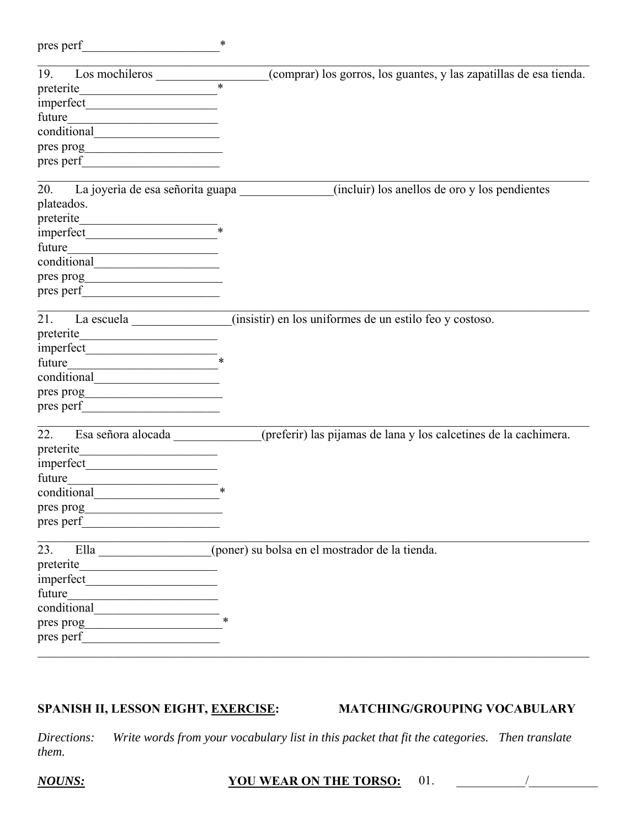| pres perf                             | $\ast$                                                                             |
|---------------------------------------|------------------------------------------------------------------------------------|
| 19.                                   | (comprar) los gorros, los guantes, y las zapatillas de esa tienda.                 |
|                                       |                                                                                    |
|                                       |                                                                                    |
|                                       |                                                                                    |
|                                       |                                                                                    |
|                                       |                                                                                    |
|                                       |                                                                                    |
|                                       | 20. La joyeria de esa señorita guapa (incluir) los anellos de oro y los pendientes |
| plateados.                            |                                                                                    |
|                                       |                                                                                    |
|                                       |                                                                                    |
|                                       |                                                                                    |
|                                       |                                                                                    |
|                                       |                                                                                    |
|                                       |                                                                                    |
|                                       | (insistir) en los uniformes de un estilo feo y costoso.                            |
|                                       |                                                                                    |
| $\frac{1}{2}$ imperfect $\frac{1}{2}$ |                                                                                    |
|                                       |                                                                                    |
|                                       |                                                                                    |
|                                       |                                                                                    |
|                                       |                                                                                    |
| 22.<br>Esa señora alocada             | (preferir) las pijamas de lana y los calcetines de la cachimera.                   |
|                                       |                                                                                    |
|                                       |                                                                                    |
| future                                |                                                                                    |
|                                       | $\ast$                                                                             |
| pres prog                             |                                                                                    |
|                                       |                                                                                    |
|                                       | 23. Ella (poner) su bolsa en el mostrador de la tienda.                            |
|                                       |                                                                                    |
|                                       |                                                                                    |
|                                       |                                                                                    |
|                                       |                                                                                    |
|                                       |                                                                                    |
|                                       |                                                                                    |
|                                       |                                                                                    |

# **SPANISH II, LESSON EIGHT, EXERCISE: MATCHING/GROUPING VOCABULARY**

*Directions: Write words from your vocabulary list in this packet that fit the categories. Then translate them.*

### *NOUNS:* **YOU WEAR ON THE TORSO:** 01. \_\_\_\_\_\_\_\_\_\_\_/\_\_\_\_\_\_\_\_\_\_\_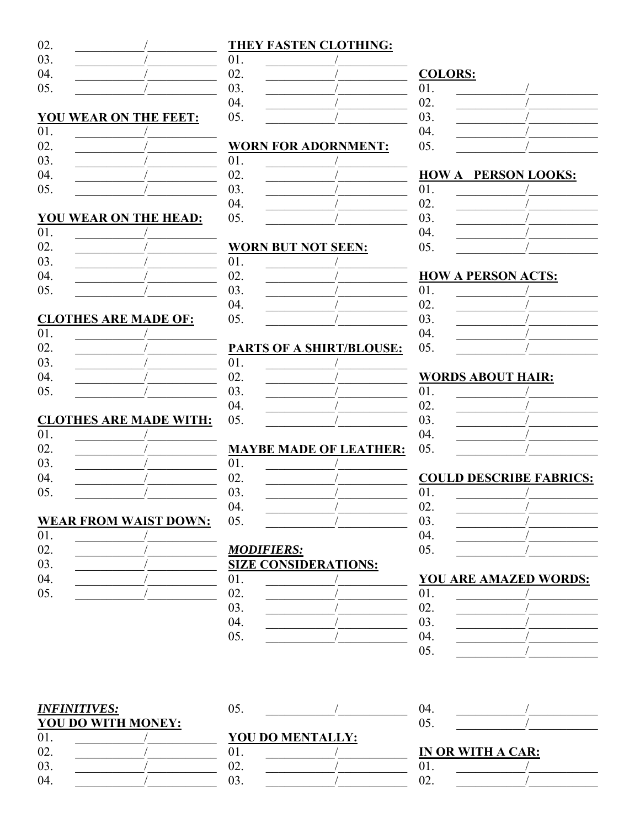| 02. |  |
|-----|--|
| 03. |  |
| 04. |  |

YOU WEAR ON THE

 $\sqrt{2}$ 

 $\prime$ 

 $\sqrt{2}$ 

 $\sqrt{ }$ 

 $\sqrt{2}$ 

 $\sqrt{2}$ 

 $\sqrt{2}$ 

**YOU WEAR ON THE HEAD:** 

05.

01.

02.

03.

 $04.$ 

05.

 $01.$ 

02.

03.

04.

05.

01.

02.

### **THEY FASTEN CLOTHING:**

|       | UI. |  |
|-------|-----|--|
|       | 02. |  |
|       | 03. |  |
|       | 04. |  |
| FEET: | 05. |  |
|       |     |  |

#### **WORN FOR ADORNMENT:**

01.  $02.$ 03. 04. 05.

#### **WORN BUT NOT SEEN:**

01. 02. 03.  $\sqrt{ }$ 04.  $\overline{1}$ **CLOTHES ARE MADE OF:** 

#### $0.5<sub>1</sub>$  $\sqrt{2}$

# PARTS OF A SHIRT/BLOUSE:

- 01.  $\sqrt{2}$ 02.
- 03.
- $04.$ 05.

# **MAYBE MADE OF LEATHER:**

01. 02.  $\bigg)$ 03.  $04.$ 05.

# **MODIFIERS: SIZE CONSIDERATIONS:**

05.

#### **COLORS:**  $01.$  $02.$ 03. 04.  $0.5<sub>1</sub>$

### **HOW A PERSON LOOKS:**

| 01. |  |
|-----|--|
| 02. |  |
| 03. |  |
| 04. |  |
| 05. |  |

#### **HOW A PERSON ACTS:**  $01.$

02.

 $03.$ 

04.

 $0.5<sub>1</sub>$ 

02. 03. 04.  $0.5<sub>1</sub>$ 

04.

 $0.5<sub>1</sub>$ 

# **WORDS ABOUT HAIR:**

| 01. |  |
|-----|--|
| 02. |  |
| 03. |  |
| 04. |  |
| 05. |  |

### **COULD DESCRIBE FABRICS:**

| 01.    |  |
|--------|--|
| 02.    |  |
|        |  |
| 03.04. |  |
| 05.    |  |
|        |  |

#### **YOU ARE AMAZED WORDS:** 01.

#### **INFINITIVES:** YOU DO WITH MONEY: 01.  $\sqrt{2}$ 02. 03.  $\sqrt{ }$ 04.

# YOU DO MENTALLY:

01. 02.  $\sqrt{ }$ 03.

#### IN OR WITH A CAR:  $01$

| $\Omega$               |  |
|------------------------|--|
| $\Omega$<br><u>. .</u> |  |

|     | нив плоты, свотино. |
|-----|---------------------|
| )1. |                     |
| )2. |                     |
| )3. |                     |
| )4. |                     |
| )5. |                     |
|     |                     |

#### 03.  $\sqrt{ }$ 04. 05.

# **CLOTHES ARE MADE WITH:**

| 01.    |  |
|--------|--|
| 02.    |  |
| 03.    |  |
|        |  |
| 04.05. |  |

# **WEAR FROM WAIST DOWN:**

| 01.               |  |
|-------------------|--|
| 02.               |  |
| 03.               |  |
| 04.               |  |
| $\overline{05}$ . |  |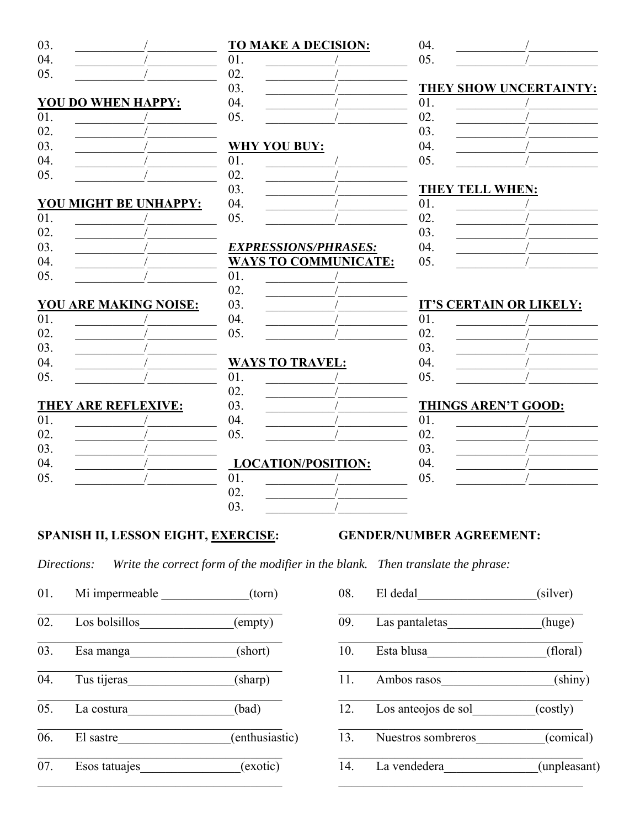| <b>YOU DO WHEN HAPPY:</b> |
|---------------------------|
|                           |
|                           |
|                           |
|                           |
|                           |
|                           |
| YOU MIGHT BE UNHAPPY:     |
|                           |
|                           |
|                           |
|                           |
|                           |
|                           |

| 01. |  |
|-----|--|
| 02. |  |
| 03. |  |
| 04. |  |
| 05. |  |

#### THEY ARE REFLEXIVE:

| 01. |  |
|-----|--|
| 02. |  |
| 03. |  |
| 04. |  |
| 05. |  |
|     |  |

#### **TO MAKE A DECISION:** 01.  $\sqrt{ }$ 02.  $\sqrt{2}$ 03. 04. 05.  $\sqrt{2}$

### WHY YOU BUY:

- 01. 02. 03. 04.  $\sqrt{ }$
- 05.

# $\frac{EX}{W}$

 $01$ 02. 03. 04. 05.

 $\overline{1}$ 03.  $\sqrt{2}$ 04. 05.  $\sqrt{2}$ 

#### **LOCATION/POSITION:**

01.  $\bigg)$ 02.  $\overline{1}$ 03.

# 04. 05.

# THEY SHOW UNCERTAINTY:

| 01. |  |
|-----|--|
| 02. |  |
| 03. |  |
| 04. |  |
| 05. |  |

#### **THEY TELL WHEN:**  $01$

| 01. |  |
|-----|--|
| 02. |  |
| 03. |  |
| 04. |  |
| 05. |  |
|     |  |

#### **IT'S CERTAIN OR LIKELY:**  $01$

| 01. |  |
|-----|--|
| 02. |  |
| 03. |  |
| 04. |  |
| 05. |  |
|     |  |

### **THINGS AREN'T GOOD:**

| 01. |  |
|-----|--|
| 02. |  |
| 03. |  |
| 04. |  |
| 05. |  |

## **SPANISH II, LESSON EIGHT, EXERCISE:**

#### **GENDER/NUMBER AGREEMENT:**

Write the correct form of the modifier in the blank. Then translate the phrase: Directions:

- 01. Mi impermeable  $(torn)$
- 02. Los bolsillos (empty)
- $\overline{03}$ .  $(short)$ Esa manga
- $\overline{04.}$ Tus tijeras  $(\text{sharp})$
- $05.$  $(bad)$ La costura
- 06. El sastre (enthusiastic)
- 07. Esos tatuajes (exotic)

| 08. | El dedal            | (silver)     |
|-----|---------------------|--------------|
| 09. | Las pantaletas      | (huge)       |
| 10. | Esta blusa          | (floral)     |
| 11. | Ambos rasos         | (shiny)      |
| 12. | Los anteojos de sol | (costly)     |
| 13. | Nuestros sombreros  | (comical)    |
| 14. | La vendedera        | (unpleasant) |
|     |                     |              |

| YPRESSIONS/PHRASES: |                     |  |
|---------------------|---------------------|--|
|                     | AYS TO COMMUNICATE: |  |
|                     |                     |  |
|                     |                     |  |
|                     |                     |  |
|                     |                     |  |
|                     |                     |  |

# **WAYS TO TRAVEL:**  $01.$ 02.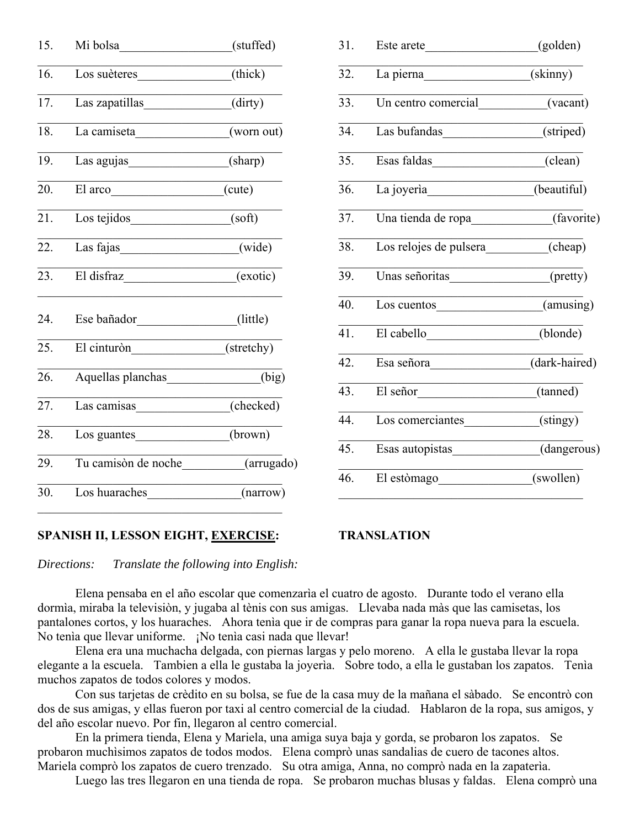| 15. | Mi bolsa                                 | (stuffed) |
|-----|------------------------------------------|-----------|
| 16. | Los suèteres                             | (thick)   |
| 17. | Las zapatillas (dirty)                   |           |
| 18. | La camiseta________________(worn out)    |           |
| 19. | Las agujas ____________________(sharp)   |           |
| 20. | El arco                                  | (cute)    |
| 21. | Los tejidos                              | (soft)    |
| 22. | Las fajas                                | (wide)    |
| 23. | El disfraz (exotic)                      |           |
| 24. | Ese bañador_________________(little)     |           |
| 25. | El cinturòn (stretchy)                   |           |
| 26. | Aquellas planchas                        | (big)     |
| 27. | Las camisas (checked)                    |           |
| 28. | Los guantes (brown)                      |           |
| 29. | Tu camisòn de noche __________(arrugado) |           |
| 30. | Los huaraches                            | (narrow)  |

| 31. | Este arete________________________(golden) |               |
|-----|--------------------------------------------|---------------|
| 32. |                                            | (skinny)      |
| 33. | Un centro comercial                        | (vacant)      |
| 34. | Las bufandas_________________(striped)     |               |
| 35. | Esas faldas (clean)                        |               |
| 36. | La joyerìa (beautiful)                     |               |
| 37. | Una tienda de ropa____________(favorite)   |               |
| 38. | Los relojes de pulsera (cheap)             |               |
| 39. | Unas señoritas (pretty)                    |               |
| 40. | Los cuentos _____________________(amusing) |               |
| 41. | El cabello _______________(blonde)         |               |
| 42. | Esa señora                                 | (dark-haired) |
| 43. | El señor                                   | (tanned)      |
| 44. | Los comerciantes (stingy)                  |               |
| 45. | Esas autopistas                            | (dangerous)   |
| 46. | El estòmago_______________(swollen)        |               |
|     |                                            |               |

### **SPANISH II, LESSON EIGHT, EXERCISE: TRANSLATION**

 $\mathcal{L}_\text{max}$  and  $\mathcal{L}_\text{max}$  and  $\mathcal{L}_\text{max}$  and  $\mathcal{L}_\text{max}$ 

*Directions: Translate the following into English:*

 Elena pensaba en el año escolar que comenzarìa el cuatro de agosto. Durante todo el verano ella dormìa, miraba la televisiòn, y jugaba al tènis con sus amigas. Llevaba nada màs que las camisetas, los pantalones cortos, y los huaraches. Ahora tenìa que ir de compras para ganar la ropa nueva para la escuela. No tenìa que llevar uniforme. ¡No tenìa casi nada que llevar!

 Elena era una muchacha delgada, con piernas largas y pelo moreno. A ella le gustaba llevar la ropa elegante a la escuela. Tambien a ella le gustaba la joyerìa. Sobre todo, a ella le gustaban los zapatos. Tenìa muchos zapatos de todos colores y modos.

 Con sus tarjetas de crèdito en su bolsa, se fue de la casa muy de la mañana el sàbado. Se encontrò con dos de sus amigas, y ellas fueron por taxi al centro comercial de la ciudad. Hablaron de la ropa, sus amigos, y del año escolar nuevo. Por fin, llegaron al centro comercial.

 En la primera tienda, Elena y Mariela, una amiga suya baja y gorda, se probaron los zapatos. Se probaron muchìsimos zapatos de todos modos. Elena comprò unas sandalias de cuero de tacones altos. Mariela comprò los zapatos de cuero trenzado. Su otra amiga, Anna, no comprò nada en la zapaterìa.

Luego las tres llegaron en una tienda de ropa. Se probaron muchas blusas y faldas. Elena comprò una